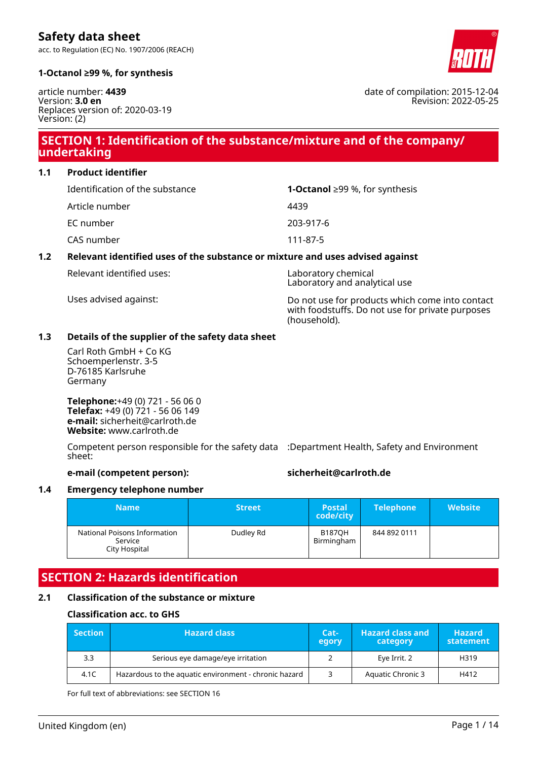acc. to Regulation (EC) No. 1907/2006 (REACH)



date of compilation: 2015-12-04

Revision: 2022-05-25

#### **1-Octanol ≥99 %, for synthesis**

article number: **4439** Version: **3.0 en** Replaces version of: 2020-03-19 Version: (2)

### **SECTION 1: Identification of the substance/mixture and of the company/ undertaking**

**1.1 Product identifier**

| Identification of the substance | <b>1-Octanol</b> ≥99 %, for synthesis |
|---------------------------------|---------------------------------------|
| Article number                  | 4439                                  |
| EC number                       | 203-917-6                             |
| CAS number                      | 111-87-5                              |
|                                 |                                       |

### **1.2 Relevant identified uses of the substance or mixture and uses advised against**

Relevant identified uses: Laboratory chemical

Laboratory and analytical use

Uses advised against: Do not use for products which come into contact with foodstuffs. Do not use for private purposes (household).

#### **1.3 Details of the supplier of the safety data sheet**

Carl Roth GmbH + Co KG Schoemperlenstr. 3-5 D-76185 Karlsruhe Germany

**Telephone:**+49 (0) 721 - 56 06 0 **Telefax:** +49 (0) 721 - 56 06 149 **e-mail:** sicherheit@carlroth.de **Website:** www.carlroth.de

Competent person responsible for the safety data :Department Health, Safety and Environment sheet:

#### **e-mail (competent person): sicherheit@carlroth.de**

#### **1.4 Emergency telephone number**

| <b>Name</b>                                              | <b>Street</b> | <b>Postal</b><br>code/city  | <b>Telephone</b> | <b>Website</b> |
|----------------------------------------------------------|---------------|-----------------------------|------------------|----------------|
| National Poisons Information<br>Service<br>City Hospital | Dudley Rd     | <b>B187OH</b><br>Birmingham | 844 892 0111     |                |

### **SECTION 2: Hazards identification**

#### **2.1 Classification of the substance or mixture**

#### **Classification acc. to GHS**

| <b>Section</b> | <b>Hazard class</b>                                   |  | <b>Hazard class and</b><br>category | <b>Hazard</b><br>statement |
|----------------|-------------------------------------------------------|--|-------------------------------------|----------------------------|
| 3.3            | Serious eye damage/eye irritation                     |  | Eye Irrit. 2                        | H319                       |
| 4.1C           | Hazardous to the aquatic environment - chronic hazard |  | Aquatic Chronic 3                   | H412                       |

For full text of abbreviations: see SECTION 16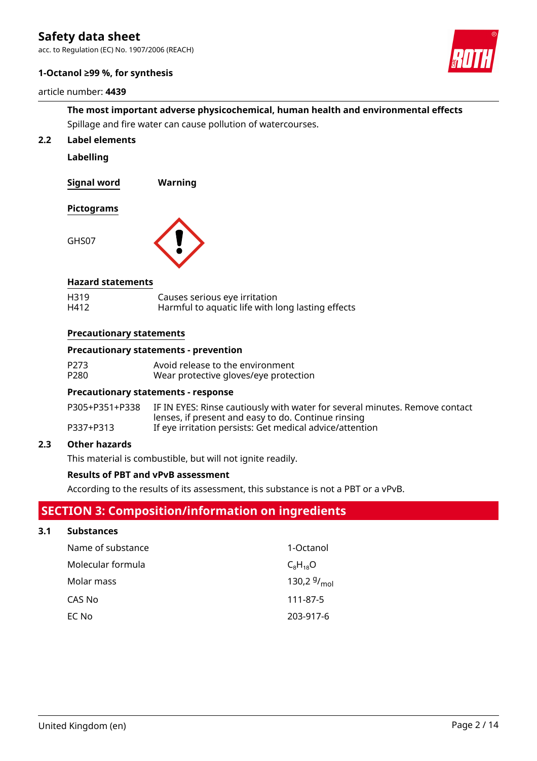acc. to Regulation (EC) No. 1907/2006 (REACH)

#### **1-Octanol ≥99 %, for synthesis**

#### article number: **4439**



### **The most important adverse physicochemical, human health and environmental effects** Spillage and fire water can cause pollution of watercourses.

**2.2 Label elements**

**Labelling**

**Signal word Warning**

#### **Pictograms**



#### **Hazard statements**

| H319 | Causes serious eye irritation                     |
|------|---------------------------------------------------|
| H412 | Harmful to aquatic life with long lasting effects |

#### **Precautionary statements**

#### **Precautionary statements - prevention**

| P273 | Avoid release to the environment      |
|------|---------------------------------------|
| P280 | Wear protective gloves/eye protection |

#### **Precautionary statements - response**

| P305+P351+P338 | IF IN EYES: Rinse cautiously with water for several minutes. Remove contact |
|----------------|-----------------------------------------------------------------------------|
|                | lenses, if present and easy to do. Continue rinsing                         |
| P337+P313      | If eye irritation persists: Get medical advice/attention                    |

#### **2.3 Other hazards**

This material is combustible, but will not ignite readily.

#### **Results of PBT and vPvB assessment**

According to the results of its assessment, this substance is not a PBT or a vPvB.

### **SECTION 3: Composition/information on ingredients**

### **3.1 Substances**

| Name of substance | 1-Octanol        |
|-------------------|------------------|
| Molecular formula | $C_8H_{18}O$     |
| Molar mass        | 130,2 $9/_{mol}$ |
| CAS No            | 111-87-5         |
| EC No             | 203-917-6        |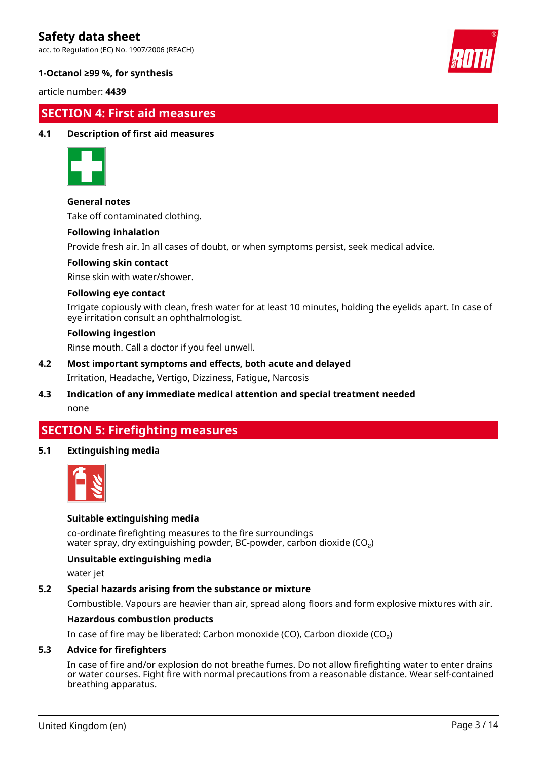acc. to Regulation (EC) No. 1907/2006 (REACH)



#### **1-Octanol ≥99 %, for synthesis**

article number: **4439**

### **SECTION 4: First aid measures**

#### **4.1 Description of first aid measures**



#### **General notes**

Take off contaminated clothing.

#### **Following inhalation**

Provide fresh air. In all cases of doubt, or when symptoms persist, seek medical advice.

#### **Following skin contact**

Rinse skin with water/shower.

#### **Following eye contact**

Irrigate copiously with clean, fresh water for at least 10 minutes, holding the eyelids apart. In case of eye irritation consult an ophthalmologist.

#### **Following ingestion**

Rinse mouth. Call a doctor if you feel unwell.

- **4.2 Most important symptoms and effects, both acute and delayed** Irritation, Headache, Vertigo, Dizziness, Fatigue, Narcosis
- **4.3 Indication of any immediate medical attention and special treatment needed** none

### **SECTION 5: Firefighting measures**

#### **5.1 Extinguishing media**



#### **Suitable extinguishing media**

co-ordinate firefighting measures to the fire surroundings water spray, dry extinguishing powder, BC-powder, carbon dioxide (CO<sub>2</sub>)

#### **Unsuitable extinguishing media**

water jet

#### **5.2 Special hazards arising from the substance or mixture**

Combustible. Vapours are heavier than air, spread along floors and form explosive mixtures with air.

#### **Hazardous combustion products**

In case of fire may be liberated: Carbon monoxide (CO), Carbon dioxide (CO₂)

#### **5.3 Advice for firefighters**

In case of fire and/or explosion do not breathe fumes. Do not allow firefighting water to enter drains or water courses. Fight fire with normal precautions from a reasonable distance. Wear self-contained breathing apparatus.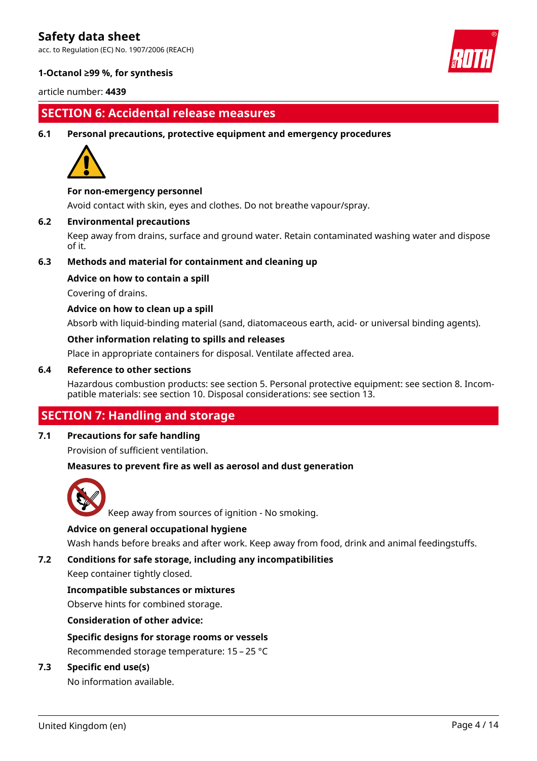acc. to Regulation (EC) No. 1907/2006 (REACH)



#### **1-Octanol ≥99 %, for synthesis**

article number: **4439**

### **SECTION 6: Accidental release measures**

#### **6.1 Personal precautions, protective equipment and emergency procedures**



#### **For non-emergency personnel**

Avoid contact with skin, eyes and clothes. Do not breathe vapour/spray.

#### **6.2 Environmental precautions**

Keep away from drains, surface and ground water. Retain contaminated washing water and dispose of it.

#### **6.3 Methods and material for containment and cleaning up**

#### **Advice on how to contain a spill**

Covering of drains.

#### **Advice on how to clean up a spill**

Absorb with liquid-binding material (sand, diatomaceous earth, acid- or universal binding agents).

#### **Other information relating to spills and releases**

Place in appropriate containers for disposal. Ventilate affected area.

#### **6.4 Reference to other sections**

Hazardous combustion products: see section 5. Personal protective equipment: see section 8. Incompatible materials: see section 10. Disposal considerations: see section 13.

### **SECTION 7: Handling and storage**

#### **7.1 Precautions for safe handling**

Provision of sufficient ventilation.

#### **Measures to prevent fire as well as aerosol and dust generation**



Keep away from sources of ignition - No smoking.

#### **Advice on general occupational hygiene**

Wash hands before breaks and after work. Keep away from food, drink and animal feedingstuffs.

#### **7.2 Conditions for safe storage, including any incompatibilities**

Keep container tightly closed.

#### **Incompatible substances or mixtures**

Observe hints for combined storage.

#### **Consideration of other advice:**

#### **Specific designs for storage rooms or vessels**

Recommended storage temperature: 15 – 25 °C

#### **7.3 Specific end use(s)**

No information available.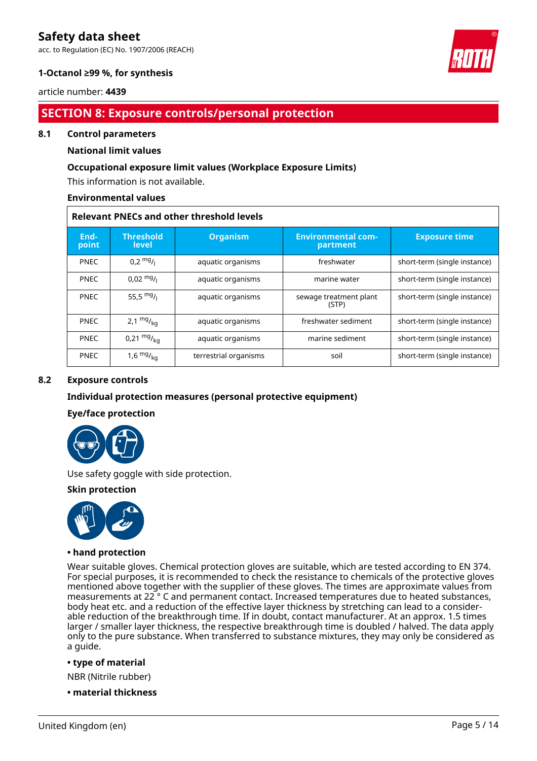acc. to Regulation (EC) No. 1907/2006 (REACH)



#### **1-Octanol ≥99 %, for synthesis**

article number: **4439**

### **SECTION 8: Exposure controls/personal protection**

#### **8.1 Control parameters**

#### **National limit values**

#### **Occupational exposure limit values (Workplace Exposure Limits)**

This information is not available.

#### **Environmental values**

|               | <b>Relevant PNECs and other threshold levels</b> |                       |                                       |                              |  |  |  |
|---------------|--------------------------------------------------|-----------------------|---------------------------------------|------------------------------|--|--|--|
| End-<br>point | <b>Threshold</b><br>level                        | <b>Organism</b>       | <b>Environmental com-</b><br>partment | <b>Exposure time</b>         |  |  |  |
| <b>PNEC</b>   | $0.2 \frac{mg}{l}$                               | aquatic organisms     | freshwater                            | short-term (single instance) |  |  |  |
| <b>PNEC</b>   | $0,02 \frac{mg}{l}$                              | aquatic organisms     | marine water                          | short-term (single instance) |  |  |  |
| <b>PNEC</b>   | 55,5 $mg/1$                                      | aquatic organisms     | sewage treatment plant<br>(STP)       | short-term (single instance) |  |  |  |
| <b>PNEC</b>   | 2,1 $mg/_{kq}$                                   | aquatic organisms     | freshwater sediment                   | short-term (single instance) |  |  |  |
| <b>PNEC</b>   | $0,21 \frac{mg}{kg}$                             | aquatic organisms     | marine sediment                       | short-term (single instance) |  |  |  |
| <b>PNEC</b>   | $1,6$ mg $V_{\text{kg}}$                         | terrestrial organisms | soil                                  | short-term (single instance) |  |  |  |

#### **8.2 Exposure controls**

#### **Individual protection measures (personal protective equipment)**

#### **Eye/face protection**



Use safety goggle with side protection.

#### **Skin protection**



#### **• hand protection**

Wear suitable gloves. Chemical protection gloves are suitable, which are tested according to EN 374. For special purposes, it is recommended to check the resistance to chemicals of the protective gloves mentioned above together with the supplier of these gloves. The times are approximate values from measurements at 22 ° C and permanent contact. Increased temperatures due to heated substances, body heat etc. and a reduction of the effective layer thickness by stretching can lead to a considerable reduction of the breakthrough time. If in doubt, contact manufacturer. At an approx. 1.5 times larger / smaller layer thickness, the respective breakthrough time is doubled / halved. The data apply only to the pure substance. When transferred to substance mixtures, they may only be considered as a guide.

#### **• type of material**

NBR (Nitrile rubber)

**• material thickness**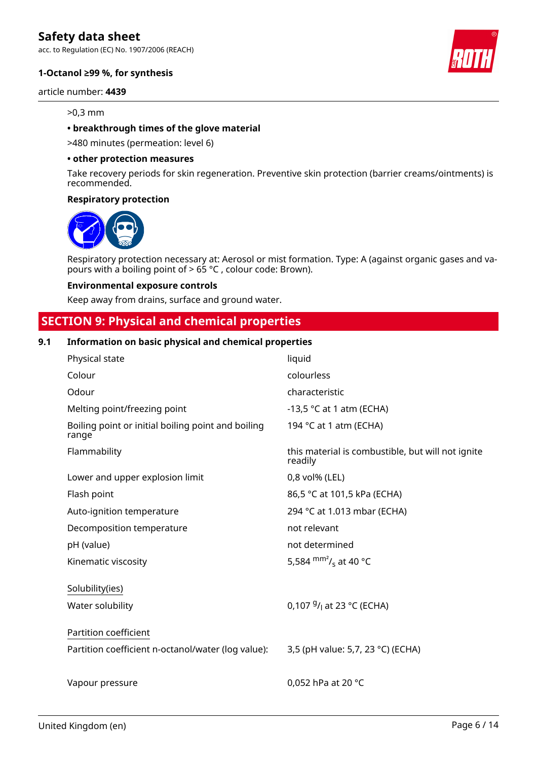acc. to Regulation (EC) No. 1907/2006 (REACH)

#### **1-Octanol ≥99 %, for synthesis**

article number: **4439**

#### >0,3 mm

#### **• breakthrough times of the glove material**

>480 minutes (permeation: level 6)

#### **• other protection measures**

Take recovery periods for skin regeneration. Preventive skin protection (barrier creams/ointments) is recommended.

#### **Respiratory protection**



Respiratory protection necessary at: Aerosol or mist formation. Type: A (against organic gases and vapours with a boiling point of > 65 °C , colour code: Brown).

#### **Environmental exposure controls**

Keep away from drains, surface and ground water.

### **SECTION 9: Physical and chemical properties**

#### **9.1 Information on basic physical and chemical properties**

| Physical state                                              | liquid                                                       |
|-------------------------------------------------------------|--------------------------------------------------------------|
| Colour                                                      | colourless                                                   |
| Odour                                                       | characteristic                                               |
| Melting point/freezing point                                | -13,5 $\degree$ C at 1 atm (ECHA)                            |
| Boiling point or initial boiling point and boiling<br>range | 194 °C at 1 atm (ECHA)                                       |
| Flammability                                                | this material is combustible, but will not ignite<br>readily |
| Lower and upper explosion limit                             | 0,8 vol% (LEL)                                               |
| Flash point                                                 | 86,5 °C at 101,5 kPa (ECHA)                                  |
| Auto-ignition temperature                                   | 294 °C at 1.013 mbar (ECHA)                                  |
| Decomposition temperature                                   | not relevant                                                 |
| pH (value)                                                  | not determined                                               |
| Kinematic viscosity                                         | 5,584 $\text{mm}^2$ / <sub>s</sub> at 40 °C                  |
| Solubility(ies)                                             |                                                              |
| Water solubility                                            | 0,107 $9/1$ at 23 °C (ECHA)                                  |
| Partition coefficient                                       |                                                              |
| Partition coefficient n-octanol/water (log value):          | 3,5 (pH value: 5,7, 23 °C) (ECHA)                            |
|                                                             |                                                              |
| Vapour pressure                                             | 0,052 hPa at 20 °C                                           |
|                                                             |                                                              |

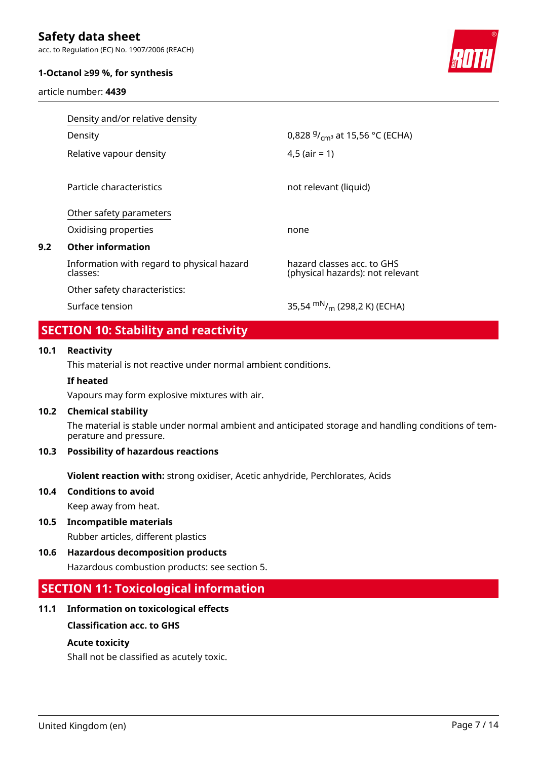acc. to Regulation (EC) No. 1907/2006 (REACH)

#### **1-Octanol ≥99 %, for synthesis**

article number: **4439**



|     | Density and/or relative density                        |                                                                |
|-----|--------------------------------------------------------|----------------------------------------------------------------|
|     | Density                                                | 0,828 $9/_{cm^3}$ at 15,56 °C (ECHA)                           |
|     | Relative vapour density                                | $4,5$ (air = 1)                                                |
|     | Particle characteristics                               | not relevant (liquid)                                          |
|     | Other safety parameters                                |                                                                |
|     | Oxidising properties                                   | none                                                           |
| 9.2 | <b>Other information</b>                               |                                                                |
|     | Information with regard to physical hazard<br>classes: | hazard classes acc. to GHS<br>(physical hazards): not relevant |
|     | Other safety characteristics:                          |                                                                |
|     | Surface tension                                        | 35,54 m <sup>N</sup> / <sub>m</sub> (298,2 K) (ECHA)           |

### **SECTION 10: Stability and reactivity**

#### **10.1 Reactivity**

This material is not reactive under normal ambient conditions.

#### **If heated**

Vapours may form explosive mixtures with air.

#### **10.2 Chemical stability**

The material is stable under normal ambient and anticipated storage and handling conditions of temperature and pressure.

#### **10.3 Possibility of hazardous reactions**

**Violent reaction with:** strong oxidiser, Acetic anhydride, Perchlorates, Acids

# **10.4 Conditions to avoid**

Keep away from heat.

- **10.5 Incompatible materials** Rubber articles, different plastics
- **10.6 Hazardous decomposition products** Hazardous combustion products: see section 5.

### **SECTION 11: Toxicological information**

#### **11.1 Information on toxicological effects**

#### **Classification acc. to GHS**

#### **Acute toxicity**

Shall not be classified as acutely toxic.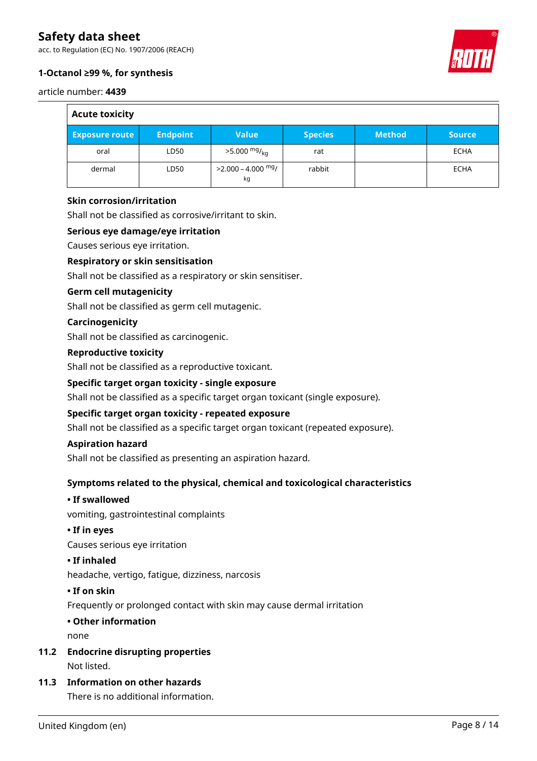acc. to Regulation (EC) No. 1907/2006 (REACH)

#### **1-Octanol ≥99 %, for synthesis**

article number: **4439**

 $\overline{\phantom{0}}$ 

| <b>Acute toxicity</b> |                 |                               |                |               |               |
|-----------------------|-----------------|-------------------------------|----------------|---------------|---------------|
| <b>Exposure route</b> | <b>Endpoint</b> | <b>Value</b>                  | <b>Species</b> | <b>Method</b> | <b>Source</b> |
| oral                  | LD50            | $>5.000$ mg/ <sub>kg</sub>    | rat            |               | <b>ECHA</b>   |
| dermal                | LD50            | $>$ 2.000 – 4.000 $mg/$<br>kg | rabbit         |               | <b>ECHA</b>   |

#### **Skin corrosion/irritation**

Shall not be classified as corrosive/irritant to skin.

#### **Serious eye damage/eye irritation**

Causes serious eye irritation.

#### **Respiratory or skin sensitisation**

Shall not be classified as a respiratory or skin sensitiser.

#### **Germ cell mutagenicity**

Shall not be classified as germ cell mutagenic.

#### **Carcinogenicity**

Shall not be classified as carcinogenic.

#### **Reproductive toxicity**

Shall not be classified as a reproductive toxicant.

#### **Specific target organ toxicity - single exposure**

Shall not be classified as a specific target organ toxicant (single exposure).

#### **Specific target organ toxicity - repeated exposure**

Shall not be classified as a specific target organ toxicant (repeated exposure).

#### **Aspiration hazard**

Shall not be classified as presenting an aspiration hazard.

#### **Symptoms related to the physical, chemical and toxicological characteristics**

#### **• If swallowed**

vomiting, gastrointestinal complaints

#### **• If in eyes**

Causes serious eye irritation

#### **• If inhaled**

headache, vertigo, fatigue, dizziness, narcosis

#### **• If on skin**

Frequently or prolonged contact with skin may cause dermal irritation

## **• Other information**

none

- **11.2 Endocrine disrupting properties** Not listed.
- **11.3 Information on other hazards**

There is no additional information.

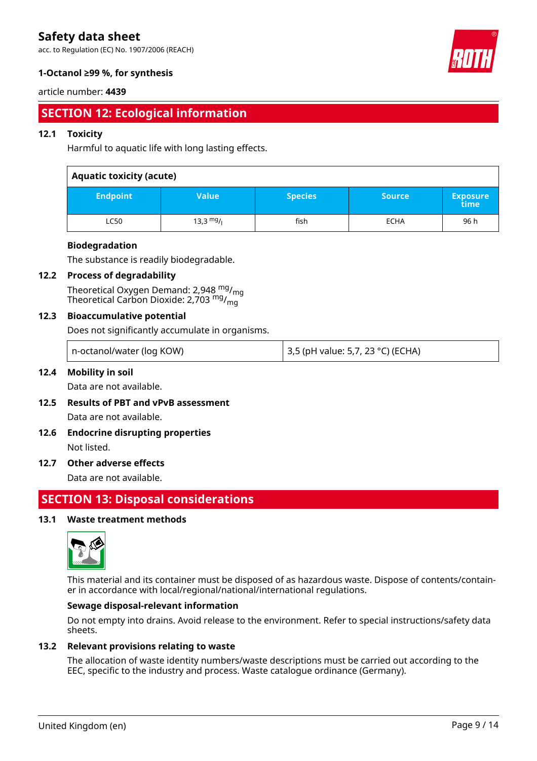acc. to Regulation (EC) No. 1907/2006 (REACH)



#### **1-Octanol ≥99 %, for synthesis**

#### article number: **4439**

### **SECTION 12: Ecological information**

#### **12.1 Toxicity**

Harmful to aquatic life with long lasting effects.

#### **Aquatic toxicity (acute)**

| <b>Endpoint</b> | Value'     | <b>Species</b> | <b>Source</b> | <b>Exposure</b><br>time |
|-----------------|------------|----------------|---------------|-------------------------|
| LC50            | 13,3 $mg/$ | fish           | <b>ECHA</b>   | 96 h                    |

#### **Biodegradation**

The substance is readily biodegradable.

#### **12.2 Process of degradability**

Theoretical Oxygen Demand: 2,948  $mg/mq$ Theoretical Carbon Dioxide: 2,703  $mg/m<sub>m</sub>$ 

#### **12.3 Bioaccumulative potential**

Does not significantly accumulate in organisms.

| n-octanol/water (log KOW) | $\vert$ 3,5 (pH value: 5,7, 23 °C) (ECHA) |
|---------------------------|-------------------------------------------|
|---------------------------|-------------------------------------------|

#### **12.4 Mobility in soil**

Data are not available.

- **12.5 Results of PBT and vPvB assessment** Data are not available.
- **12.6 Endocrine disrupting properties** Not listed.

#### **12.7 Other adverse effects**

Data are not available.

### **SECTION 13: Disposal considerations**

#### **13.1 Waste treatment methods**



This material and its container must be disposed of as hazardous waste. Dispose of contents/container in accordance with local/regional/national/international regulations.

#### **Sewage disposal-relevant information**

Do not empty into drains. Avoid release to the environment. Refer to special instructions/safety data sheets.

#### **13.2 Relevant provisions relating to waste**

The allocation of waste identity numbers/waste descriptions must be carried out according to the EEC, specific to the industry and process. Waste catalogue ordinance (Germany).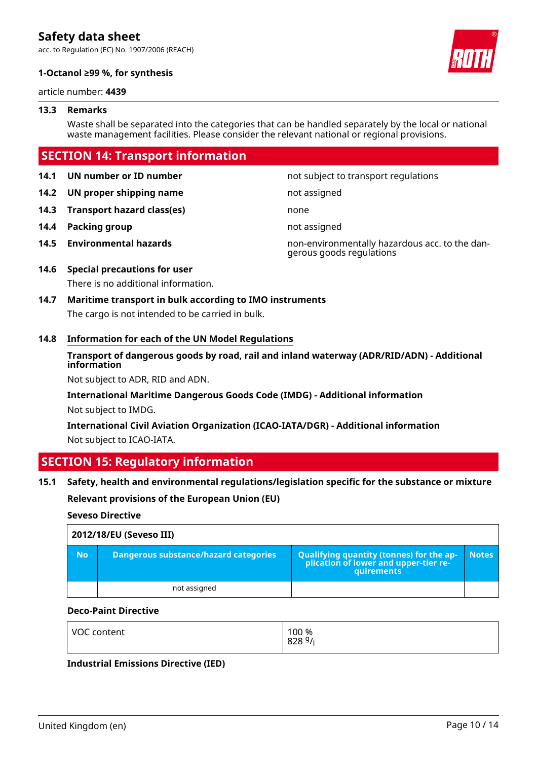acc. to Regulation (EC) No. 1907/2006 (REACH)



#### **1-Octanol ≥99 %, for synthesis**

article number: **4439**

#### **13.3 Remarks**

Waste shall be separated into the categories that can be handled separately by the local or national waste management facilities. Please consider the relevant national or regional provisions.

### **SECTION 14: Transport information**

**14.2 UN proper shipping name** not assigned

**14.3 Transport hazard class(es)** none

- **14.4 Packing group not assigned**
- 

**14.1 UN number or ID number 14.1 UN number** not subject to transport regulations

**14.5 Environmental hazards** non-environmentally hazardous acc. to the dangerous goods regulations

### **14.6 Special precautions for user**

There is no additional information.

**14.7 Maritime transport in bulk according to IMO instruments** The cargo is not intended to be carried in bulk.

#### **14.8 Information for each of the UN Model Regulations**

**Transport of dangerous goods by road, rail and inland waterway (ADR/RID/ADN) - Additional information**

Not subject to ADR, RID and ADN.

**International Maritime Dangerous Goods Code (IMDG) - Additional information** Not subject to IMDG.

**International Civil Aviation Organization (ICAO-IATA/DGR) - Additional information** Not subject to ICAO-IATA.

### **SECTION 15: Regulatory information**

#### **15.1 Safety, health and environmental regulations/legislation specific for the substance or mixture**

**Relevant provisions of the European Union (EU)**

#### **Seveso Directive**

|           | 2012/18/EU (Seveso III)               |                                                                                            |              |
|-----------|---------------------------------------|--------------------------------------------------------------------------------------------|--------------|
| <b>No</b> | Dangerous substance/hazard categories | Qualifying quantity (tonnes) for the application of lower and upper-tier re-<br>quirements | <b>Notes</b> |
|           | not assigned                          |                                                                                            |              |

#### **Deco-Paint Directive**

| VOC content | 100 %<br>8289/ |
|-------------|----------------|
|             |                |

#### **Industrial Emissions Directive (IED)**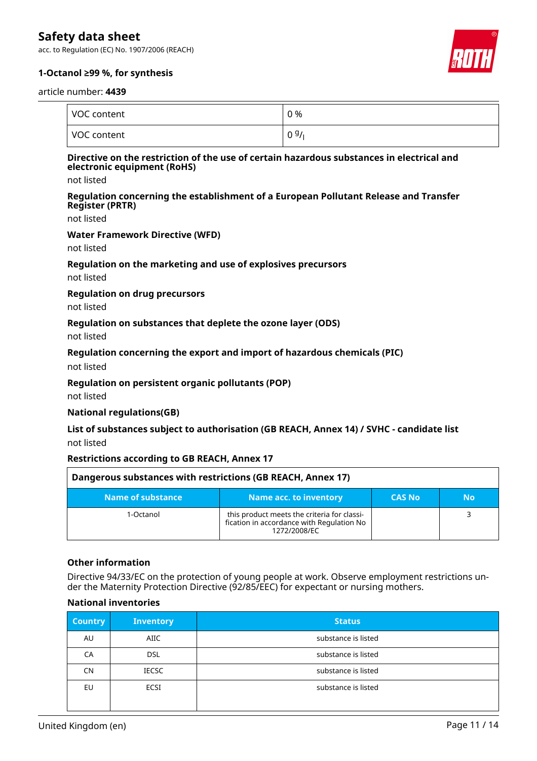acc. to Regulation (EC) No. 1907/2006 (REACH)



#### **1-Octanol ≥99 %, for synthesis**

#### article number: **4439**

| VOC content | 0 % |
|-------------|-----|
| VOC content | 09/ |

#### **Directive on the restriction of the use of certain hazardous substances in electrical and electronic equipment (RoHS)**

not listed

#### **Regulation concerning the establishment of a European Pollutant Release and Transfer Register (PRTR)**

not listed

#### **Water Framework Directive (WFD)**

not listed

#### **Regulation on the marketing and use of explosives precursors**

not listed

#### **Regulation on drug precursors**

not listed

#### **Regulation on substances that deplete the ozone layer (ODS)**

not listed

#### **Regulation concerning the export and import of hazardous chemicals (PIC)**

not listed

#### **Regulation on persistent organic pollutants (POP)**

not listed

#### **National regulations(GB)**

#### **List of substances subject to authorisation (GB REACH, Annex 14) / SVHC - candidate list** not listed

#### **Restrictions according to GB REACH, Annex 17**

| Dangerous substances with restrictions (GB REACH, Annex 17) |                                                                                                          |               |    |
|-------------------------------------------------------------|----------------------------------------------------------------------------------------------------------|---------------|----|
| Name of substance                                           | Name acc. to inventory                                                                                   | <b>CAS No</b> | Νo |
| 1-Octanol                                                   | this product meets the criteria for classi-<br>fication in accordance with Regulation No<br>1272/2008/FC |               |    |

#### **Other information**

Directive 94/33/EC on the protection of young people at work. Observe employment restrictions under the Maternity Protection Directive (92/85/EEC) for expectant or nursing mothers.

#### **National inventories**

| <b>Country</b> | <b>Inventory</b> | <b>Status</b>       |
|----------------|------------------|---------------------|
| AU             | <b>AIIC</b>      | substance is listed |
| CA             | <b>DSL</b>       | substance is listed |
| CN             | <b>IECSC</b>     | substance is listed |
| EU             | <b>ECSI</b>      | substance is listed |
|                |                  |                     |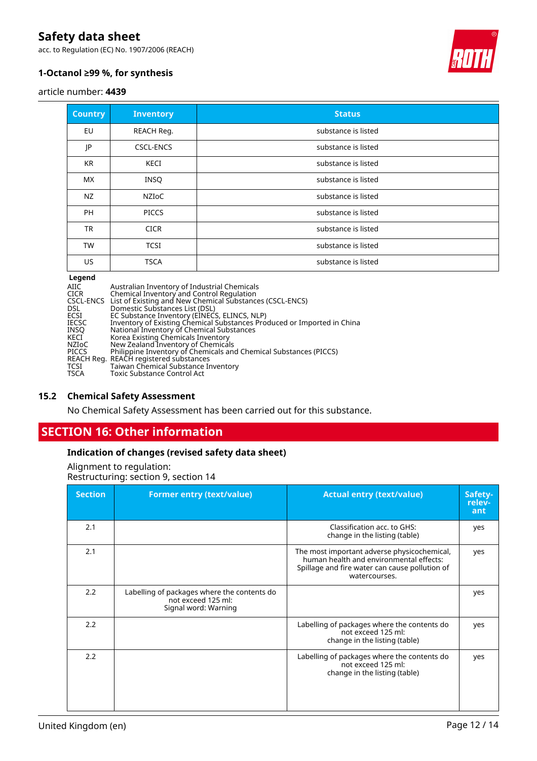acc. to Regulation (EC) No. 1907/2006 (REACH)



### **1-Octanol ≥99 %, for synthesis**

article number: **4439**

| <b>Country</b> | <b>Inventory</b> | <b>Status</b>       |
|----------------|------------------|---------------------|
| EU             | REACH Reg.       | substance is listed |
| JP             | <b>CSCL-ENCS</b> | substance is listed |
| <b>KR</b>      | KECI             | substance is listed |
| <b>MX</b>      | <b>INSQ</b>      | substance is listed |
| NZ             | NZIoC            | substance is listed |
| <b>PH</b>      | <b>PICCS</b>     | substance is listed |
| <b>TR</b>      | <b>CICR</b>      | substance is listed |
| <b>TW</b>      | <b>TCSI</b>      | substance is listed |
| US.            | <b>TSCA</b>      | substance is listed |

#### **Legend**

AIIC Australian Inventory of Industrial Chemicals CICR Chemical Inventory and Control Regulation CSCL-ENCS List of Existing and New Chemical Substances (CSCL-ENCS) FIGURE COMMUNISTY OF THUSING CICR<br>CSCL-ENCS List of Existing and New Chemic<br>DSL Domestic Substances List (DSL)<br>ECSI EC Substance Inventory (EINEC:<br>IECSC Inventory of Existing Chemical 9 ECSI EC Substance Inventory (EINECS, ELINCS, NLP) IECSC Inventory of Existing Chemical Substances Produced or Imported in China INSQ National Inventory of Chemical Substances KECI Korea Existing Chemicals Inventory NZIoC New Zealand Inventory of Chemicals PICCS Philippine Inventory of Chemicals and Chemical Substances (PICCS) REACH Reg. REACH registered substances TCSI Taiwan Chemical Substance Inventory TSCA Toxic Substance Control Act

#### **15.2 Chemical Safety Assessment**

No Chemical Safety Assessment has been carried out for this substance.

### **SECTION 16: Other information**

#### **Indication of changes (revised safety data sheet)**

Alignment to regulation: Restructuring: section 9, section 14

| <b>Section</b> | <b>Former entry (text/value)</b>                                                          | <b>Actual entry (text/value)</b>                                                                                                                          | Safety-<br>relev-<br>ant |
|----------------|-------------------------------------------------------------------------------------------|-----------------------------------------------------------------------------------------------------------------------------------------------------------|--------------------------|
| 2.1            |                                                                                           | Classification acc. to GHS:<br>change in the listing (table)                                                                                              | yes                      |
| 2.1            |                                                                                           | The most important adverse physicochemical,<br>human health and environmental effects:<br>Spillage and fire water can cause pollution of<br>watercourses. | yes                      |
| 2.2            | Labelling of packages where the contents do<br>not exceed 125 ml:<br>Signal word: Warning |                                                                                                                                                           | yes                      |
| 2.2            |                                                                                           | Labelling of packages where the contents do<br>not exceed 125 ml:<br>change in the listing (table)                                                        | yes                      |
| 2.2            |                                                                                           | Labelling of packages where the contents do<br>not exceed 125 ml:<br>change in the listing (table)                                                        | yes                      |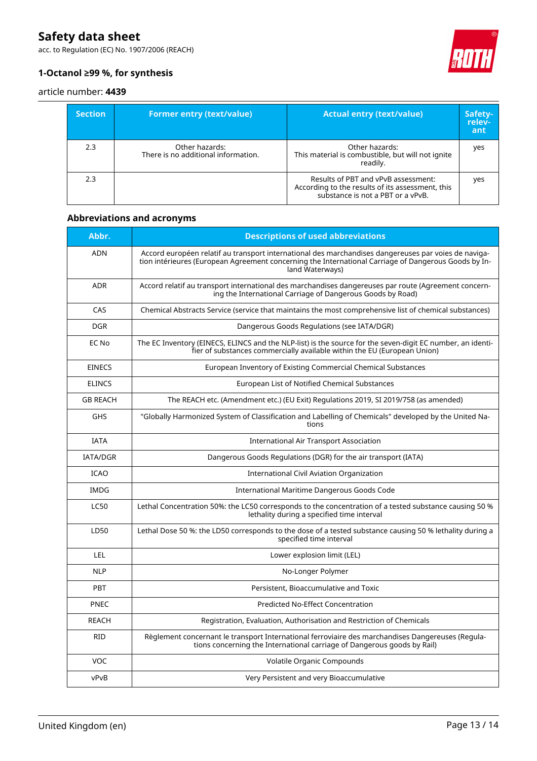acc. to Regulation (EC) No. 1907/2006 (REACH)



### **1-Octanol ≥99 %, for synthesis**

#### article number: **4439**

| <b>Section</b> | <b>Former entry (text/value)</b>                      | <b>Actual entry (text/value)</b>                                                                                             | Safety-<br>relev-<br>ant |
|----------------|-------------------------------------------------------|------------------------------------------------------------------------------------------------------------------------------|--------------------------|
| 2.3            | Other hazards:<br>There is no additional information. | Other hazards:<br>This material is combustible, but will not ignite<br>readily.                                              | yes                      |
| 2.3            |                                                       | Results of PBT and vPvB assessment:<br>According to the results of its assessment, this<br>substance is not a PBT or a vPvB. | yes                      |

### **Abbreviations and acronyms**

| Abbr.           | <b>Descriptions of used abbreviations</b>                                                                                                                                                                                       |
|-----------------|---------------------------------------------------------------------------------------------------------------------------------------------------------------------------------------------------------------------------------|
| <b>ADN</b>      | Accord européen relatif au transport international des marchandises dangereuses par voies de naviga-<br>tion intérieures (European Agreement concerning the International Carriage of Dangerous Goods by In-<br>land Waterways) |
| <b>ADR</b>      | Accord relatif au transport international des marchandises dangereuses par route (Agreement concern-<br>ing the International Carriage of Dangerous Goods by Road)                                                              |
| CAS             | Chemical Abstracts Service (service that maintains the most comprehensive list of chemical substances)                                                                                                                          |
| <b>DGR</b>      | Dangerous Goods Regulations (see IATA/DGR)                                                                                                                                                                                      |
| EC No           | The EC Inventory (EINECS, ELINCS and the NLP-list) is the source for the seven-digit EC number, an identi-<br>fier of substances commercially available within the EU (European Union)                                          |
| <b>EINECS</b>   | European Inventory of Existing Commercial Chemical Substances                                                                                                                                                                   |
| <b>ELINCS</b>   | European List of Notified Chemical Substances                                                                                                                                                                                   |
| <b>GB REACH</b> | The REACH etc. (Amendment etc.) (EU Exit) Regulations 2019, SI 2019/758 (as amended)                                                                                                                                            |
| <b>GHS</b>      | "Globally Harmonized System of Classification and Labelling of Chemicals" developed by the United Na-<br>tions                                                                                                                  |
| <b>IATA</b>     | <b>International Air Transport Association</b>                                                                                                                                                                                  |
| <b>IATA/DGR</b> | Dangerous Goods Regulations (DGR) for the air transport (IATA)                                                                                                                                                                  |
| <b>ICAO</b>     | <b>International Civil Aviation Organization</b>                                                                                                                                                                                |
| <b>IMDG</b>     | International Maritime Dangerous Goods Code                                                                                                                                                                                     |
| <b>LC50</b>     | Lethal Concentration 50%: the LC50 corresponds to the concentration of a tested substance causing 50 %<br>lethality during a specified time interval                                                                            |
| LD50            | Lethal Dose 50 %: the LD50 corresponds to the dose of a tested substance causing 50 % lethality during a<br>specified time interval                                                                                             |
| LEL             | Lower explosion limit (LEL)                                                                                                                                                                                                     |
| <b>NLP</b>      | No-Longer Polymer                                                                                                                                                                                                               |
| <b>PBT</b>      | Persistent, Bioaccumulative and Toxic                                                                                                                                                                                           |
| PNEC            | Predicted No-Effect Concentration                                                                                                                                                                                               |
| <b>REACH</b>    | Registration, Evaluation, Authorisation and Restriction of Chemicals                                                                                                                                                            |
| <b>RID</b>      | Règlement concernant le transport International ferroviaire des marchandises Dangereuses (Regula-<br>tions concerning the International carriage of Dangerous goods by Rail)                                                    |
| VOC             | Volatile Organic Compounds                                                                                                                                                                                                      |
| vPvB            | Very Persistent and very Bioaccumulative                                                                                                                                                                                        |